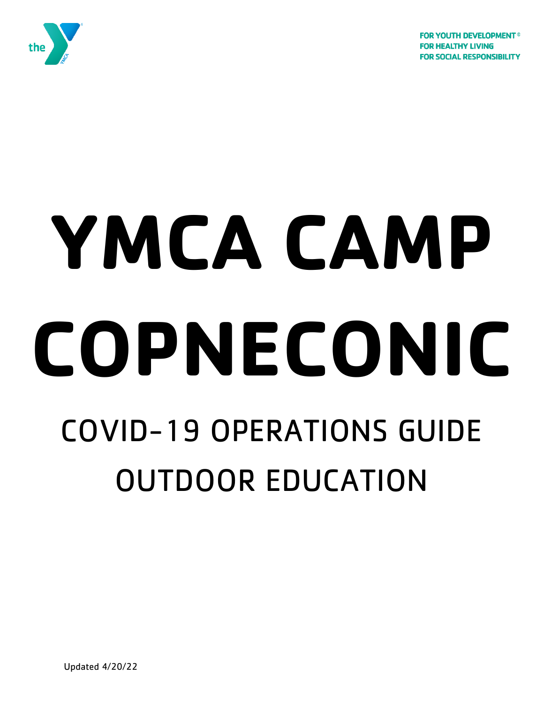**FOR YOUTH DEVELOPMENT<sup>®</sup> FOR HEALTHY LIVING FOR SOCIAL RESPONSIBILITY** 



# **YMCA CAMP COPNECONIC** COVID-19 OPERATIONS GUIDE OUTDOOR EDUCATION

Updated 4/20/22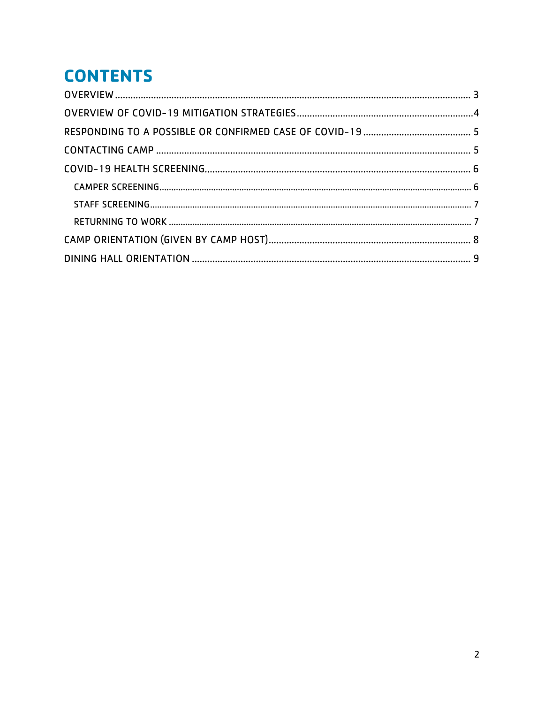# **CONTENTS**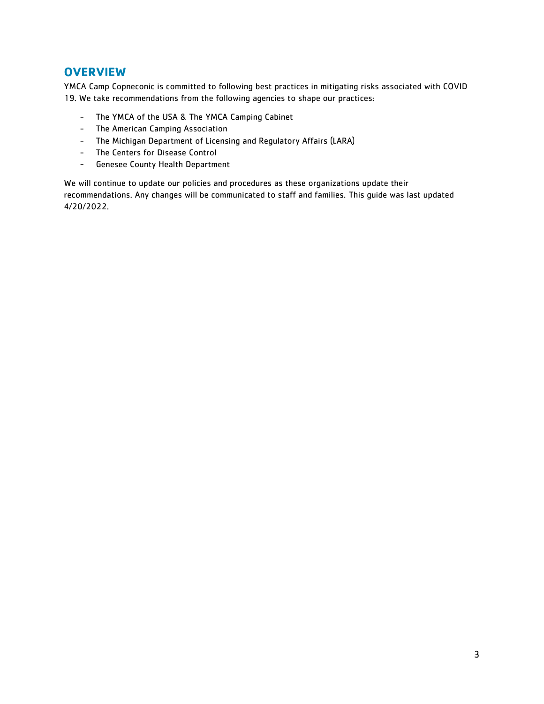### <span id="page-2-0"></span>**OVERVIEW**

YMCA Camp Copneconic is committed to following best practices in mitigating risks associated with COVID 19. We take recommendations from the following agencies to shape our practices:

- The YMCA of the USA & The YMCA Camping Cabinet
- The American Camping Association
- The Michigan Department of Licensing and Regulatory Affairs (LARA)
- The Centers for Disease Control
- Genesee County Health Department

We will continue to update our policies and procedures as these organizations update their recommendations. Any changes will be communicated to staff and families. This guide was last updated 4/20/2022.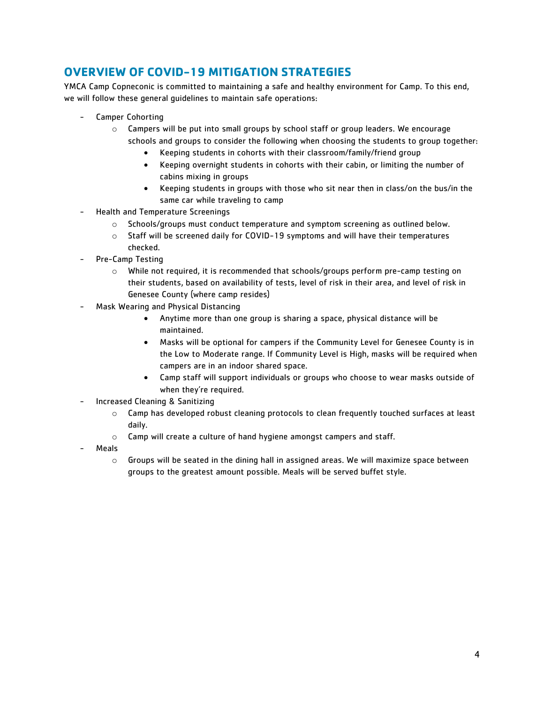# <span id="page-3-0"></span>**OVERVIEW OF COVID-19 MITIGATION STRATEGIES**

YMCA Camp Copneconic is committed to maintaining a safe and healthy environment for Camp. To this end, we will follow these general guidelines to maintain safe operations:

- Camper Cohorting
	- $\circ$  Campers will be put into small groups by school staff or group leaders. We encourage schools and groups to consider the following when choosing the students to group together:
		- Keeping students in cohorts with their classroom/family/friend group
		- Keeping overnight students in cohorts with their cabin, or limiting the number of cabins mixing in groups
		- Keeping students in groups with those who sit near then in class/on the bus/in the same car while traveling to camp
- Health and Temperature Screenings
	- $\circ$  Schools/groups must conduct temperature and symptom screening as outlined below.
	- $\circ$  Staff will be screened daily for COVID-19 symptoms and will have their temperatures checked.
- Pre-Camp Testing
	- $\circ$  While not required, it is recommended that schools/groups perform pre-camp testing on their students, based on availability of tests, level of risk in their area, and level of risk in Genesee County (where camp resides)
- Mask Wearing and Physical Distancing
	- Anytime more than one group is sharing a space, physical distance will be maintained.
	- Masks will be optional for campers if the Community Level for Genesee County is in the Low to Moderate range. If Community Level is High, masks will be required when campers are in an indoor shared space.
	- Camp staff will support individuals or groups who choose to wear masks outside of when they're required.
- Increased Cleaning & Sanitizing
	- $\circ$  Camp has developed robust cleaning protocols to clean frequently touched surfaces at least daily.
	- o Camp will create a culture of hand hygiene amongst campers and staff.
- **Meals** 
	- $\circ$  Groups will be seated in the dining hall in assigned areas. We will maximize space between groups to the greatest amount possible. Meals will be served buffet style.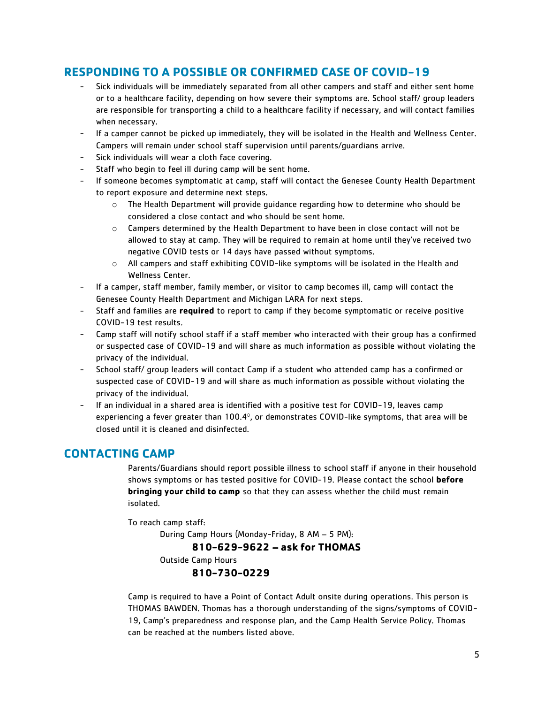# <span id="page-4-0"></span>**RESPONDING TO A POSSIBLE OR CONFIRMED CASE OF COVID-19**

- Sick individuals will be immediately separated from all other campers and staff and either sent home or to a healthcare facility, depending on how severe their symptoms are. School staff/ group leaders are responsible for transporting a child to a healthcare facility if necessary, and will contact families when necessary.
- If a camper cannot be picked up immediately, they will be isolated in the Health and Wellness Center. Campers will remain under school staff supervision until parents/guardians arrive.
- Sick individuals will wear a cloth face covering.
- Staff who begin to feel ill during camp will be sent home.
- If someone becomes symptomatic at camp, staff will contact the Genesee County Health Department to report exposure and determine next steps.
	- o The Health Department will provide guidance regarding how to determine who should be considered a close contact and who should be sent home.
	- $\circ$  Campers determined by the Health Department to have been in close contact will not be allowed to stay at camp. They will be required to remain at home until they've received two negative COVID tests or 14 days have passed without symptoms.
	- o All campers and staff exhibiting COVID-like symptoms will be isolated in the Health and Wellness Center.
- If a camper, staff member, family member, or visitor to camp becomes ill, camp will contact the Genesee County Health Department and Michigan LARA for next steps.
- Staff and families are **required** to report to camp if they become symptomatic or receive positive COVID-19 test results.
- Camp staff will notify school staff if a staff member who interacted with their group has a confirmed or suspected case of COVID-19 and will share as much information as possible without violating the privacy of the individual.
- School staff/ group leaders will contact Camp if a student who attended camp has a confirmed or suspected case of COVID-19 and will share as much information as possible without violating the privacy of the individual.
- If an individual in a shared area is identified with a positive test for COVID-19, leaves camp experiencing a fever greater than  $100.4^\circ$ , or demonstrates COVID-like symptoms, that area will be closed until it is cleaned and disinfected.

## <span id="page-4-1"></span>**CONTACTING CAMP**

Parents/Guardians should report possible illness to school staff if anyone in their household shows symptoms or has tested positive for COVID-19. Please contact the school **before bringing your child to camp** so that they can assess whether the child must remain isolated.

To reach camp staff:

During Camp Hours (Monday-Friday, 8 AM – 5 PM):

**810-629-9622 – ask for THOMAS**

Outside Camp Hours

**810-730-0229**

Camp is required to have a Point of Contact Adult onsite during operations. This person is THOMAS BAWDEN. Thomas has a thorough understanding of the signs/symptoms of COVID-19, Camp's preparedness and response plan, and the Camp Health Service Policy. Thomas can be reached at the numbers listed above.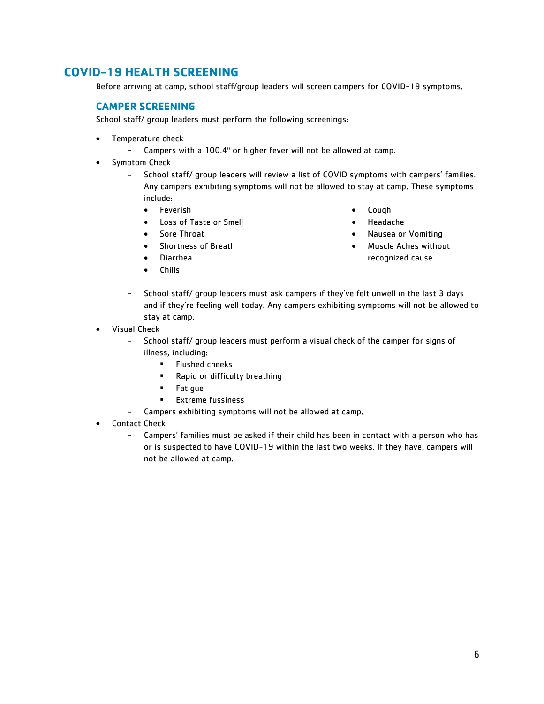# <span id="page-5-1"></span><span id="page-5-0"></span>**COVID-19 HEALTH SCREENING**

Before arriving at camp, school staff/group leaders will screen campers for COVID-19 symptoms.

#### **CAMPER SCREENING**

School staff/ group leaders must perform the following screenings:

- Temperature check
	- Campers with a  $100.4^\circ$  or higher fever will not be allowed at camp.
- Symptom Check
	- School staff/ group leaders will review a list of COVID symptoms with campers' families. Any campers exhibiting symptoms will not be allowed to stay at camp. These symptoms include:
		- Feverish
		- Loss of Taste or Smell
		- Sore Throat
		- Shortness of Breath
		- Diarrhea
		- Chills
- Cough
- Headache
- Nausea or Vomiting
- Muscle Aches without recognized cause
- School staff/ group leaders must ask campers if they've felt unwell in the last 3 days and if they're feeling well today. Any campers exhibiting symptoms will not be allowed to stay at camp.
- Visual Check
	- School staff/ group leaders must perform a visual check of the camper for signs of illness, including:
		- Flushed cheeks
		- Rapid or difficulty breathing
		- **Fatique**
		- Extreme fussiness
	- Campers exhibiting symptoms will not be allowed at camp.
- Contact Check
	- Campers' families must be asked if their child has been in contact with a person who has or is suspected to have COVID-19 within the last two weeks. If they have, campers will not be allowed at camp.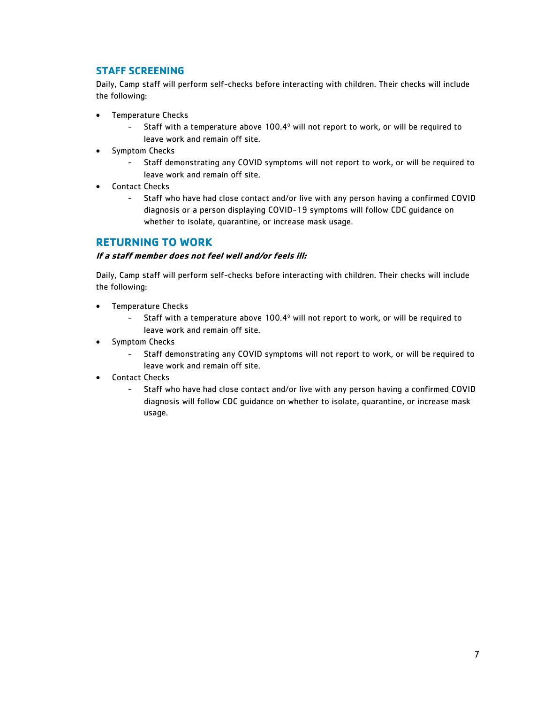#### <span id="page-6-0"></span>**STAFF SCREENING**

Daily, Camp staff will perform self-checks before interacting with children. Their checks will include the following:

- Temperature Checks
	- Staff with a temperature above 100.4<sup>°</sup> will not report to work, or will be required to leave work and remain off site.
- Symptom Checks
	- Staff demonstrating any COVID symptoms will not report to work, or will be required to leave work and remain off site.
- Contact Checks
	- Staff who have had close contact and/or live with any person having a confirmed COVID diagnosis or a person displaying COVID-19 symptoms will follow CDC guidance on whether to isolate, quarantine, or increase mask usage.

#### <span id="page-6-1"></span>**RETURNING TO WORK**

#### **If a staff member does not feel well and/or feels ill:**

Daily, Camp staff will perform self-checks before interacting with children. Their checks will include the following:

- Temperature Checks
	- Staff with a temperature above 100.4<sup>°</sup> will not report to work, or will be required to leave work and remain off site.
- Symptom Checks
	- Staff demonstrating any COVID symptoms will not report to work, or will be required to leave work and remain off site.
- Contact Checks
	- Staff who have had close contact and/or live with any person having a confirmed COVID diagnosis will follow CDC guidance on whether to isolate, quarantine, or increase mask usage.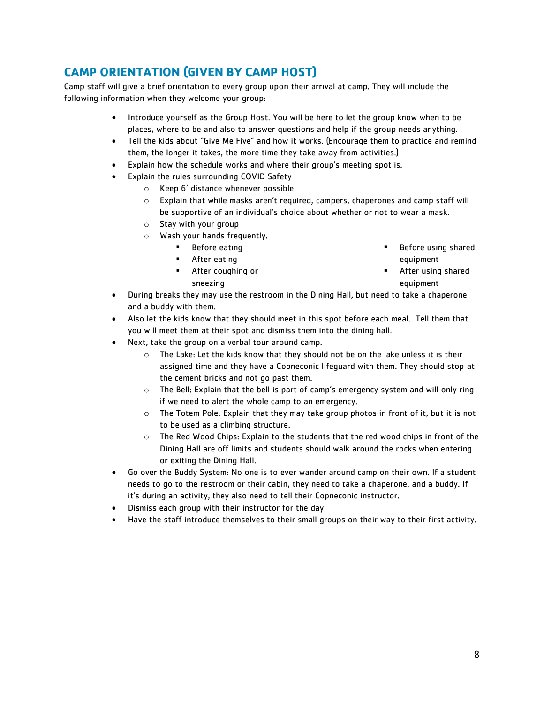# <span id="page-7-0"></span>**CAMP ORIENTATION (GIVEN BY CAMP HOST)**

Camp staff will give a brief orientation to every group upon their arrival at camp. They will include the following information when they welcome your group:

- Introduce yourself as the Group Host. You will be here to let the group know when to be places, where to be and also to answer questions and help if the group needs anything.
- Tell the kids about "Give Me Five" and how it works. (Encourage them to practice and remind them, the longer it takes, the more time they take away from activities.)
- Explain how the schedule works and where their group's meeting spot is.
- Explain the rules surrounding COVID Safety
	- o Keep 6' distance whenever possible
	- o Explain that while masks aren't required, campers, chaperones and camp staff will be supportive of an individual's choice about whether or not to wear a mask.
	- o Stay with your group
	- o Wash your hands frequently.
		- Before eating ■ After eating

Before using shared equipment

▪ After coughing or sneezing

- After using shared equipment
- During breaks they may use the restroom in the Dining Hall, but need to take a chaperone and a buddy with them.
- Also let the kids know that they should meet in this spot before each meal. Tell them that you will meet them at their spot and dismiss them into the dining hall.
- Next, take the group on a verbal tour around camp.
	- $\circ$  The Lake: Let the kids know that they should not be on the lake unless it is their assigned time and they have a Copneconic lifeguard with them. They should stop at the cement bricks and not go past them.
	- o The Bell: Explain that the bell is part of camp's emergency system and will only ring if we need to alert the whole camp to an emergency.
	- $\circ$  The Totem Pole: Explain that they may take group photos in front of it, but it is not to be used as a climbing structure.
	- o The Red Wood Chips: Explain to the students that the red wood chips in front of the Dining Hall are off limits and students should walk around the rocks when entering or exiting the Dining Hall.
- Go over the Buddy System: No one is to ever wander around camp on their own. If a student needs to go to the restroom or their cabin, they need to take a chaperone, and a buddy. If it's during an activity, they also need to tell their Copneconic instructor.
- Dismiss each group with their instructor for the day
- Have the staff introduce themselves to their small groups on their way to their first activity.